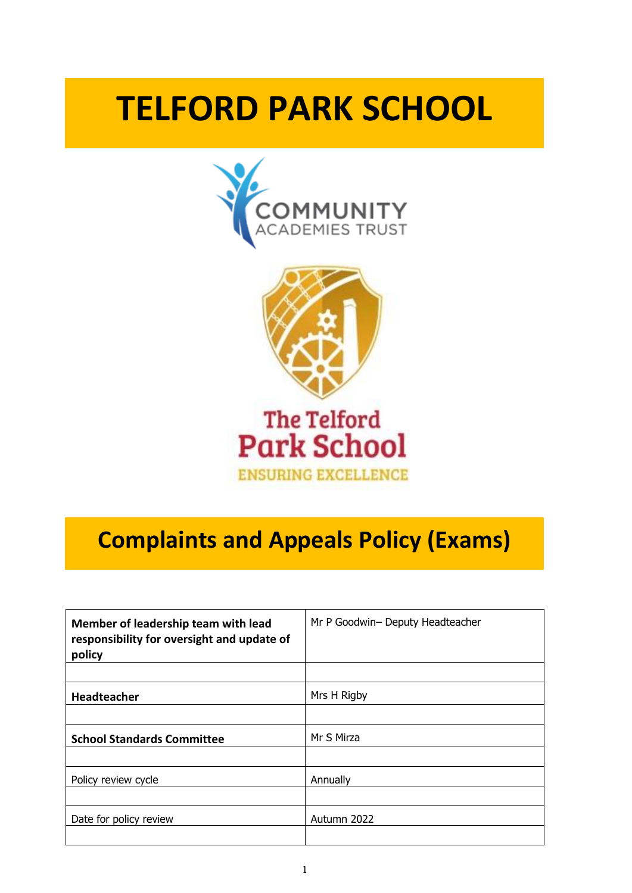# **TELFORD PARK SCHOOL**





# **Complaints and Appeals Policy (Exams)**

| Member of leadership team with lead<br>responsibility for oversight and update of<br>policy | Mr P Goodwin- Deputy Headteacher |
|---------------------------------------------------------------------------------------------|----------------------------------|
|                                                                                             |                                  |
| <b>Headteacher</b>                                                                          | Mrs H Rigby                      |
|                                                                                             |                                  |
| <b>School Standards Committee</b>                                                           | Mr S Mirza                       |
|                                                                                             |                                  |
| Policy review cycle                                                                         | Annually                         |
|                                                                                             |                                  |
| Date for policy review                                                                      | Autumn 2022                      |
|                                                                                             |                                  |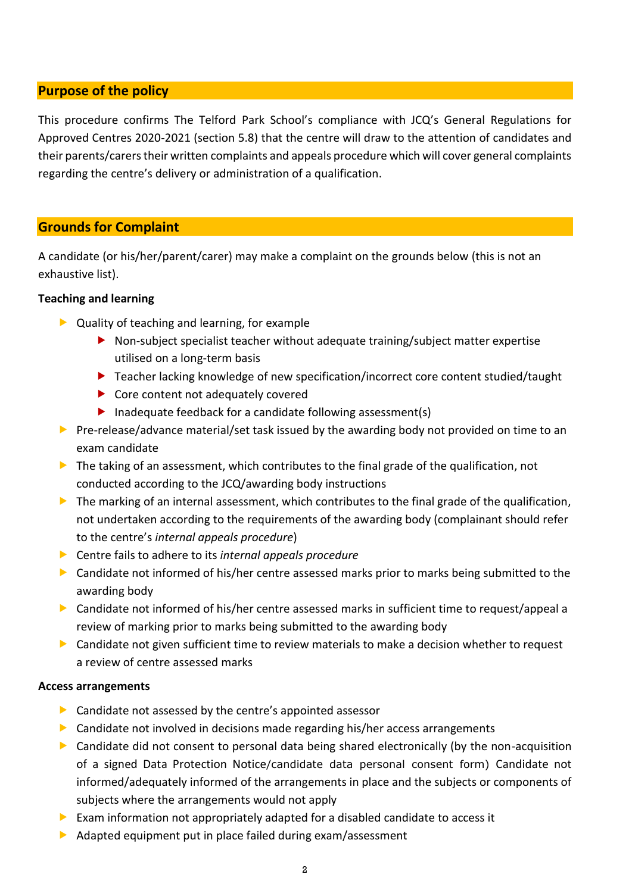# **Purpose of the policy**

This procedure confirms The Telford Park School's compliance with JCQ's General Regulations for Approved Centres 2020-2021 (section 5.8) that the centre will draw to the attention of candidates and their parents/carers their written complaints and appeals procedure which will cover general complaints regarding the centre's delivery or administration of a qualification.

# **Grounds for Complaint**

A candidate (or his/her/parent/carer) may make a complaint on the grounds below (this is not an exhaustive list).

#### **Teaching and learning**

- ▶ Quality of teaching and learning, for example
	- Non-subject specialist teacher without adequate training/subject matter expertise utilised on a long-term basis
	- ▶ Teacher lacking knowledge of new specification/incorrect core content studied/taught
	- ▶ Core content not adequately covered
	- Inadequate feedback for a candidate following assessment(s)
- Pre-release/advance material/set task issued by the awarding body not provided on time to an exam candidate
- The taking of an assessment, which contributes to the final grade of the qualification, not conducted according to the JCQ/awarding body instructions
- $\blacktriangleright$  The marking of an internal assessment, which contributes to the final grade of the qualification, not undertaken according to the requirements of the awarding body (complainant should refer to the centre's *internal appeals procedure*)
- Centre fails to adhere to its *internal appeals procedure*
- **Candidate not informed of his/her centre assessed marks prior to marks being submitted to the** awarding body
- Candidate not informed of his/her centre assessed marks in sufficient time to request/appeal a review of marking prior to marks being submitted to the awarding body
- Candidate not given sufficient time to review materials to make a decision whether to request a review of centre assessed marks

#### **Access arrangements**

- **Candidate not assessed by the centre's appointed assessor**
- Candidate not involved in decisions made regarding his/her access arrangements
- Candidate did not consent to personal data being shared electronically (by the non-acquisition of a signed Data Protection Notice/candidate data personal consent form) Candidate not informed/adequately informed of the arrangements in place and the subjects or components of subjects where the arrangements would not apply
- Exam information not appropriately adapted for a disabled candidate to access it
- $\triangleright$  Adapted equipment put in place failed during exam/assessment